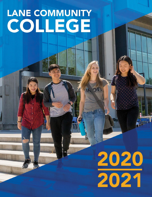# **LANE COMMUNITY** COLLEGE

# 2020<br>2021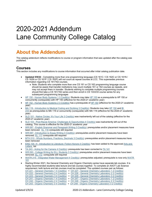## 2020-2021 Addendum Lane Community College Catalog

### **About the Addendum**

The catalog addendum reflects modifications to course or program information that was updated after the catalog was published.

#### **Courses**

This section includes any modifications to course information that occurred after initial catalog publication date.

- **Updated 5/9/22** Completing more than one programming language (CS 161C / CS 162C or CS 161N / CS 162N or CS 161P / CS 162P) will not count as repeat courses at LCC. This supersedes previous information regarding CS 161/162 courses.
	- Note: Students who complete more than one CS 161 or CS 162 programming language course should be aware that transfer institutions may count multiple 161 or 162 courses as repeats, and may not accept them in transfer. Students wishing to complete multiple programming courses should first take a CS 161/162 series and then enroll in CS 133/233 course series for any subsequent programming languages
- HP 150 Human Body [Systems 1 3 Credit\(s\): S](https://lanecc.acalogadmin.com/preview/content.php?catoid=9&navoid=712&preview&tt5416)tudents may take HP [100](https://lanecc.acalogadmin.com/preview/content.php?catoid=9&navoid=712&preview&tt8346) as a prerequisite to HP 150 or concurrently (corequisite) with HP 150 (effective for the 2020-21 academic year)
- HP 152 Human Body [Systems 2 3 Credit\(s\) h](https://lanecc.acalogadmin.com/preview/content.php?catoid=9&navoid=712&preview&tt5902)as a prerequisite of HP [150](https://lanecc.acalogadmin.com/preview/content.php?catoid=9&navoid=712&preview&tt4747) (effective for the 2020-21 academic year)
- MA 119 Introduction to Medical Coding and [Scribing 3 Credit\(s\): S](https://lanecc.acalogadmin.com/preview/content.php?catoid=9&navoid=712&preview&tt4261)tudents may take HP [150](https://lanecc.acalogadmin.com/preview/content.php?catoid=9&navoid=712&preview&tt203) and [BI](https://lanecc.acalogadmin.com/preview/content.php?catoid=9&navoid=712&preview&tt8104) [233](https://lanecc.acalogadmin.com/preview/content.php?catoid=9&navoid=712&preview&tt8104) as prerequisites to MA 119 or concurrently (corequisite) with MA 119 (effective for the 2020-21 academic year)
- [SLD 101 Native](https://lanecc.acalogadmin.com/preview/content.php?catoid=9&navoid=712&preview&tt752) Circles: It's Your Life 3 Credit(s) was inadvertently left out of the catalog (effective for the 2020-21 academic year)
- SLD 103 Post-Racial America: [Challenges & Opportunities 4 Credit\(s\) w](https://lanecc.acalogadmin.com/preview/content.php?catoid=9&navoid=712&preview&tt4552)as inadvertently left out of the catalog. This course is effective for the 2020-21 academic year
- WR 087 English Grammar [and Paragraph Writing 3 Credit\(s\): p](https://lanecc.acalogadmin.com/preview/content.php?catoid=9&navoid=712&preview&tt3920)rerequisites and/or placement measures have been removed. [EL 116](https://lanecc.acalogadmin.com/preview/content.php?catoid=9&navoid=712&preview&tt4292) corequisite still required
- WR 097 Introduction to Essay [Writing 3 Credit\(s\): p](https://lanecc.acalogadmin.com/preview/content.php?catoid=9&navoid=712&preview&tt4938)rerequisites and/or placement measures have been removed. [EL 117](https://lanecc.acalogadmin.com/preview/content.php?catoid=9&navoid=712&preview&tt650) corequisite still required
- MTH 010 Whole Numbers, Fractions, [Decimals 3 Credit\(s\): p](https://lanecc.acalogadmin.com/preview/content.php?catoid=9&navoid=712&preview&tt1452)rerequisites and/or placement measures have been removed
- ENG 104 H Introduction to Literature: [Fiction-Honors 4 Credit\(s\): h](https://lanecc.acalogadmin.com/preview/content.php?catoid=9&navoid=712&preview&tt8534)as been added to the approved [Arts and](https://lanecc.acalogadmin.com/preview/preview_program.php?catoid=9&poid=790) [Letters li](https://lanecc.acalogadmin.com/preview/preview_program.php?catoid=9&poid=790)st
- TA 243 Acting for the [Camera 4 Credit\(s\): p](https://lanecc.acalogadmin.com/preview/content.php?catoid=9&navoid=712&preview&tt4040)rerequisite has been corrected to TA [141](https://lanecc.acalogadmin.com/preview/content.php?catoid=9&navoid=712&preview&tt6892)
- WR 093 College Writing for ELL [Students 3 Credit\(s\): p](https://lanecc.acalogadmin.com/preview/content.php?catoid=9&navoid=712&preview&tt1362)rerequisites and/or placement measures have been removed. **EL 113** corequisite still required
- WATR [215 Integrated](https://lanecc.acalogadmin.com/preview/content.php?catoid=9&navoid=712&preview&tt8411) Water Management 4 Credit(s): prerequisites adjusted; prerequisite is now only [WATR](https://lanecc.acalogadmin.com/preview/content.php?catoid=9&navoid=712&preview&tt5340) [101](https://lanecc.acalogadmin.com/preview/content.php?catoid=9&navoid=712&preview&tt5340)

• Starting Winter 2021, the General Chemistry and Organic Chemistry series have separate lab courses. It is highly recommended students take lecture and lab courses together. To complete an AAOT Lab Science requirement, both lecture and lab courses must be completed. The updated courses pair as follows: CH 221 - General [Chemistry 1 4 Credit\(s\)](https://lanecc.acalogadmin.com/preview/content.php?catoid=9&navoid=712&preview&tt4208) + CH 227 - General Chemistry [Laboratory 1 2 Credit\(s\)](https://lanecc.acalogadmin.com/preview/content.php?catoid=9&navoid=712&preview&tt3248) CH 222 - General [Chemistry 2 4 Credit\(s\)](https://lanecc.acalogadmin.com/preview/content.php?catoid=9&navoid=712&preview&tt3031) + CH 228 - General Chemistry [Laboratory 2 2 Credit\(s\)](https://lanecc.acalogadmin.com/preview/content.php?catoid=9&navoid=712&preview&tt3363)

- CH 223 General [Chemistry 3 4 Credit\(s\)](https://lanecc.acalogadmin.com/preview/content.php?catoid=9&navoid=712&preview&tt1725) + CH 229 General Chemistry [Laboratory 3 2 Credit\(s\)](https://lanecc.acalogadmin.com/preview/content.php?catoid=9&navoid=712&preview&tt1521)
- CH 241 Organic [Chemistry 1 4 Credit\(s\)](https://lanecc.acalogadmin.com/preview/content.php?catoid=9&navoid=712&preview&tt1784) + CH [247 Organic Chemistry](https://lanecc.acalogadmin.com/preview/content.php?catoid=9&navoid=712&preview&tt976) Laboratory 1 2 Credit(s)
- CH 242 Organic [Chemistry 2 4 Credit\(s\)](https://lanecc.acalogadmin.com/preview/content.php?catoid=9&navoid=712&preview&tt5904) + CH [248 Organic Chemistry](https://lanecc.acalogadmin.com/preview/content.php?catoid=9&navoid=712&preview&tt2400) Laboratory 2 2 Credit(s)
- CH 243 Organic [Chemistry 3 4 Credit\(s\)](https://lanecc.acalogadmin.com/preview/content.php?catoid=9&navoid=712&preview&tt3547) + CH [249 Organic Chemistry](https://lanecc.acalogadmin.com/preview/content.php?catoid=9&navoid=712&preview&tt7819) Laboratory 3 2 Credit(s)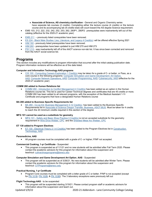- **Associate of Science, AS chemistry clarification** General and Organic Chemistry series have separate lab courses (2 credits). Completing either the lecture course (4 credits) or the lecture course and its accompanying lab (6 credits total) will count toward the AS degree Science requirement.
- EMS 103, 212, 222, 232, 242, 252, 253, 262, 280P1, 280P2: prerequisites were inadvertently left out of the catalog (effective for the 2020-21 academic year)
- [EMS](https://lanecc.acalogadmin.com/preview/content.php?catoid=9&navoid=712&preview&tt1443) 211 previously listed corequisites have been removed.
- ES 224 Black Male Studies: Lies, Literature, and [Legacy 4 Credit\(s\): w](https://lanecc.acalogadmin.com/preview/content.php?catoid=9&navoid=712&preview&tt1398)ill be offered effective Spring 2021
- [HIM](https://lanecc.acalogadmin.com/preview/content.php?catoid=9&navoid=712&preview&tt6548) 160 previously listed prerequisites have been removed.
- [HIM](https://lanecc.acalogadmin.com/preview/content.php?catoid=9&navoid=712&preview&tt19) 260 prerequisites have been updated to just HIM 270 and HIM 273
- [PSY 212](https://lanecc.acalogadmin.com/preview/content.php?catoid=9&navoid=712&preview&tt7124) was inadvertently left off of the AAOT science non-lab list. It has since been corrected and removed from the AAOT social science list.

#### **Programs**

This section includes any modifications to program information that occurred after the initial catalog publication date. Program information revisions will be effective as of the date listed.

#### **Computer and Information Technology AAS programs**

• CIS 100 - Computing Careers [Exploration 1 Credit\(s\)](https://lanecc.acalogadmin.com/preview/content.php?catoid=9&navoid=712&preview&tt8654) may be taken for a grade of C- or better, or Pass, as a core course in the following programs[: Computer Simulation and Game Development: Art Option,](https://lanecc.acalogadmin.com/preview/preview_program.php?catoid=9&poid=897) [AAS; C](https://lanecc.acalogadmin.com/preview/preview_program.php?catoid=9&poid=897)omputer Network [Operations, AAS; C](https://lanecc.acalogadmin.com/preview/preview_program.php?catoid=9&poid=871)omputer [Programming, AAS;](https://lanecc.acalogadmin.com/preview/preview_program.php?catoid=9&poid=880) [Cybersecurity,](https://lanecc.acalogadmin.com/preview/preview_program.php?catoid=9&poid=801) AAS (effective for the 2020-21 academic year)

#### **COMM 260 added to Human Relations list**

• [COMM 260 - Introduction to Conflict Management 4 Credit\(s\)](https://lanecc.acalogadmin.com/preview/preview_course_nopop.php?catoid=9&coid=15910) has been added as an option in the Human Relations course list. This list is used for Career-Technical degrees and certificates that are 45 credits or more. COMM 260 has been added to all relevant programs, with the exception of the Medical Assistant 1-Yr Certificate and programs that have a designated Human Relations course

#### **BA 280 added to Business Specific Requirements list**

• [BA 280 - Co-op Ed: Business Management 3-12 Credit\(s\)](https://lanecc.acalogadmin.com/preview/content.php?catoid=9&navoid=712&preview&tt2331) has been added to the Business Specific Requirements list in Associate of Science Oregon Transfer: [Business, ASOT-BUS. M](https://lanecc.acalogadmin.com/preview/preview_program.php?catoid=9&poid=798)ust be taken for 4 credits to reach the 20 minimum credits required in this section of the degree

#### **MFG 101 cannot be used as a substitute for geometry**

MFG 101 - Safety and Basic Shop [Practice 3 Credit\(s\)](https://lanecc.acalogadmin.com/preview/content.php?catoid=9&navoid=712&preview&tt7905) is not an accepted substitute for the geometry requirement in [Wire Drive Welder, CPC](https://lanecc.acalogadmin.com/preview/preview_program.php?catoid=9&poid=849) and the [Shielded Metal Arc Welder, CPC](https://lanecc.acalogadmin.com/preview/preview_program.php?catoid=9&poid=850)

#### **ET 130 added to Program Electives**

• ET 130 - Electrical [Theory 2 1-4 Credit\(s\) h](https://lanecc.acalogadmin.com/preview/content.php?catoid=9&navoid=712&preview&tt4150)as been added to the Program Electives list in [Construction](https://lanecc.acalogadmin.com/preview/preview_program.php?catoid=9&poid=898) [Technology, AAS](https://lanecc.acalogadmin.com/preview/preview_program.php?catoid=9&poid=898)

#### **Paramedicine, AAS**

• All program courses must be completed with a grade of C- or higher; P/NP not accepted.

#### **Commercial Cooking, 1-yr Certificate** - Suspended

• This program is suspended as of 1/1/21 and no new students will be admitted after Fall Term 2020. Please contact the academic advisors for this program for information about this suspension and teachout: [culinaryhospprograms@lanecc.edu](mailto:culinaryhospprograms@lanecc.edu)

#### **Computer Simulation and Game Development Art Option**, **AAS** - Suspended

• This program will be suspended as of 3/26/21. No new students will be admitted after Winter Term. Please contact the academic advisors for this program for information about this suspension and teachout: [CITPrograms@lanecc.edu](mailto:CITPrograms@lanecc.edu)

#### **Practical Nursing, 1-yr Certificate**

• Program Core courses must be completed with a letter grade of C or better. P/NP is not accepted (except for [PN 101B,](https://catalog.lanecc.edu/preview_program.php?catoid=9&poid=810&returnto=575&tt8317) [PN 102B, &](https://catalog.lanecc.edu/preview_program.php?catoid=9&poid=810&returnto=575&tt6011) [PN 103B\)](https://catalog.lanecc.edu/preview_program.php?catoid=9&poid=810&returnto=575&tt7076). The 3 laboratory exceptions were previously left out

#### **Flight Technology AAS** - to be suspended

• This program will be suspended starting 3/19/21. Please contact program staff or academic advisors for information about this suspension and teach out.